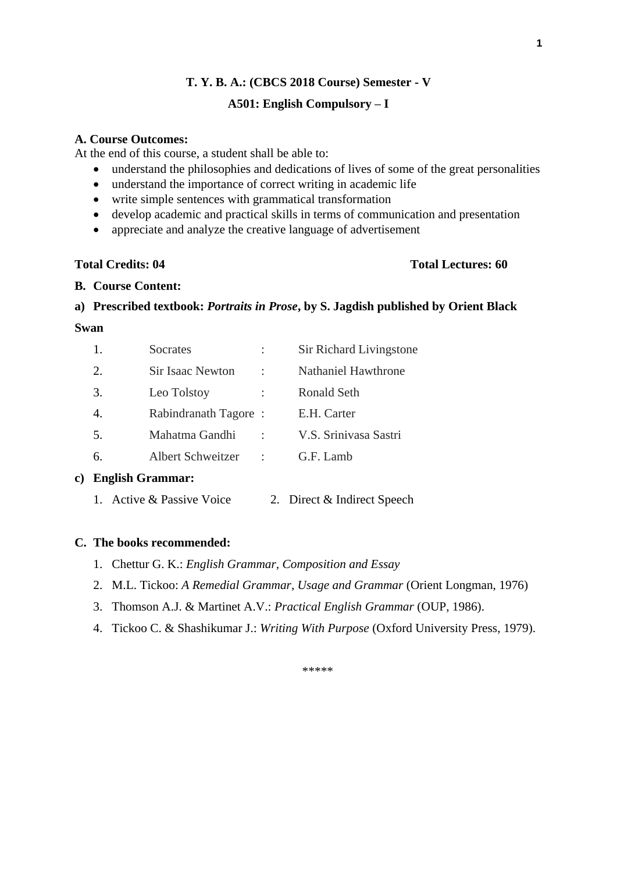## **T. Y. B. A.: (CBCS 2018 Course) Semester - V**

## **A501: English Compulsory – I**

#### **A. Course Outcomes:**

At the end of this course, a student shall be able to:

- understand the philosophies and dedications of lives of some of the great personalities
- understand the importance of correct writing in academic life
- write simple sentences with grammatical transformation
- develop academic and practical skills in terms of communication and presentation
- appreciate and analyze the creative language of advertisement

## **Total Credits: 04 Total Lectures: 60**

#### **B. Course Content:**

# **a) Prescribed textbook:** *Portraits in Prose***, by S. Jagdish published by Orient Black**

#### **Swan**

|    | Socrates                |   | Sir Richard Livingstone |
|----|-------------------------|---|-------------------------|
| 2. | <b>Sir Isaac Newton</b> | ٠ | Nathaniel Hawthrone     |
| 3. | Leo Tolstoy             |   | Ronald Seth             |
|    | Rabindranath Tagore:    |   | E.H. Carter             |
| 5. | Mahatma Gandhi          |   | V.S. Srinivasa Sastri   |
| 6. | Albert Schweitzer       |   | $G.F.$ Lamb             |

## **c) English Grammar:**

1. Active & Passive Voice 2. Direct & Indirect Speech

## **C. The books recommended:**

- 1. Chettur G. K.: *English Grammar, Composition and Essay*
- 2. M.L. Tickoo: *A Remedial Grammar, Usage and Grammar* (Orient Longman, 1976)
- 3. Thomson A.J. & Martinet A.V.: *Practical English Grammar* (OUP, 1986).
- 4. Tickoo C. & Shashikumar J.: *Writing With Purpose* (Oxford University Press, 1979).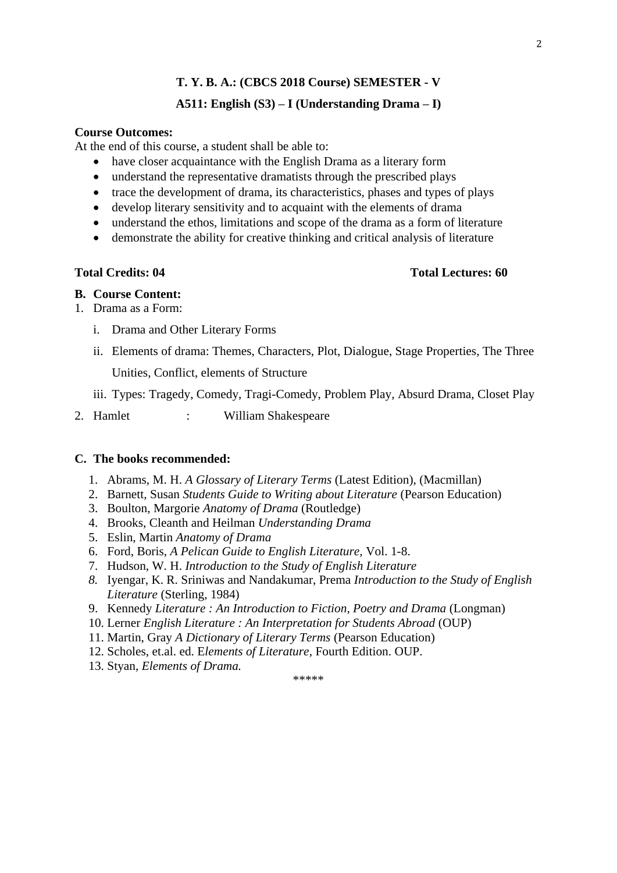## **A511: English (S3) – I (Understanding Drama – I)**

## **Course Outcomes:**

At the end of this course, a student shall be able to:

- have closer acquaintance with the English Drama as a literary form
- understand the representative dramatists through the prescribed plays
- trace the development of drama, its characteristics, phases and types of plays
- develop literary sensitivity and to acquaint with the elements of drama
- understand the ethos, limitations and scope of the drama as a form of literature
- demonstrate the ability for creative thinking and critical analysis of literature

## **Total Credits: 04 Total Lectures: 60**

#### **B. Course Content:**

- 1. Drama as a Form:
	- i. Drama and Other Literary Forms
	- ii. Elements of drama: Themes, Characters, Plot, Dialogue, Stage Properties, The Three Unities, Conflict, elements of Structure

iii. Types: Tragedy, Comedy, Tragi-Comedy, Problem Play, Absurd Drama, Closet Play

2. Hamlet : William Shakespeare

#### **C. The books recommended:**

- 1. Abrams, M. H. *A Glossary of Literary Terms* (Latest Edition), (Macmillan)
- 2. Barnett, Susan *Students Guide to Writing about Literature* (Pearson Education)
- 3. Boulton, Margorie *Anatomy of Drama* (Routledge)
- 4. Brooks, Cleanth and Heilman *Understanding Drama*
- 5. Eslin, Martin *Anatomy of Drama*
- 6. Ford, Boris, *A Pelican Guide to English Literature,* Vol. 1-8.
- 7. Hudson, W. H. *Introduction to the Study of English Literature*
- *8.* Iyengar, K. R. Sriniwas and Nandakumar, Prema *Introduction to the Study of English Literature* (Sterling, 1984)

- 9. Kennedy *Literature : An Introduction to Fiction, Poetry and Drama* (Longman)
- 10. Lerner *English Literature : An Interpretation for Students Abroad* (OUP)
- 11. Martin, Gray *A Dictionary of Literary Terms* (Pearson Education)
- 12. Scholes, et.al. ed. E*lements of Literature*, Fourth Edition. OUP.
- 13. Styan, *Elements of Drama.*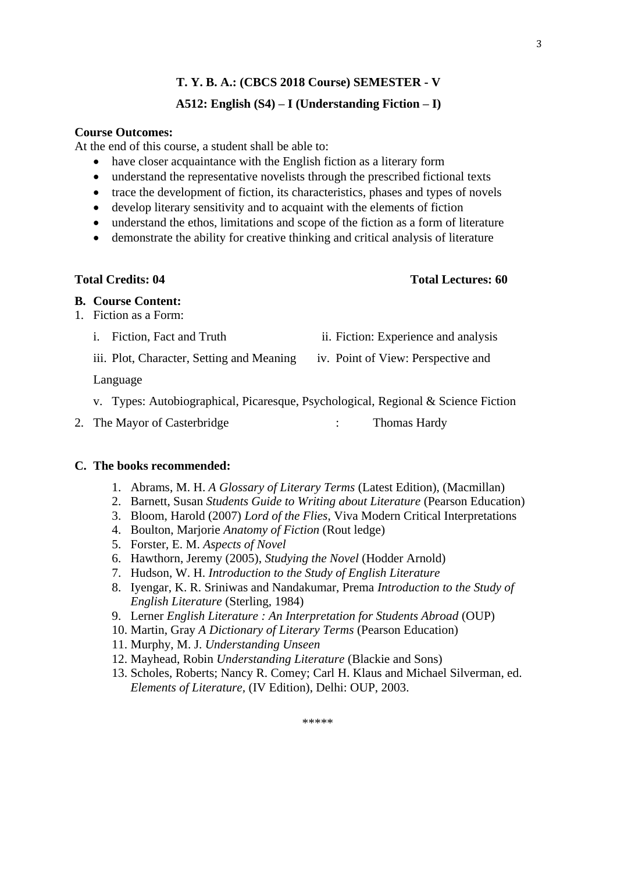## **A512: English (S4) – I (Understanding Fiction – I)**

## **Course Outcomes:**

At the end of this course, a student shall be able to:

- have closer acquaintance with the English fiction as a literary form
- understand the representative novelists through the prescribed fictional texts
- trace the development of fiction, its characteristics, phases and types of novels
- develop literary sensitivity and to acquaint with the elements of fiction
- understand the ethos, limitations and scope of the fiction as a form of literature
- demonstrate the ability for creative thinking and critical analysis of literature

## **Total Credits: 04 Total Lectures: 60**

#### **B. Course Content:**

- 1. Fiction as a Form:
	- i. Fiction, Fact and Truth ii. Fiction: Experience and analysis
	- iii. Plot, Character, Setting and Meaning iv. Point of View: Perspective and
	- Language
	- v. Types: Autobiographical, Picaresque, Psychological, Regional & Science Fiction
- 
- 
- 

- 
- 2. The Mayor of Casterbridge : Thomas Hardy

#### **C. The books recommended:**

- 1. Abrams, M. H. *A Glossary of Literary Terms* (Latest Edition), (Macmillan)
- 2. Barnett, Susan *Students Guide to Writing about Literature* (Pearson Education)
- 3. Bloom, Harold (2007) *Lord of the Flies*, Viva Modern Critical Interpretations
- 4. Boulton, Marjorie *Anatomy of Fiction* (Rout ledge)
- 5. Forster, E. M. *Aspects of Novel*
- 6. Hawthorn, Jeremy (2005), *Studying the Novel* (Hodder Arnold)
- 7. Hudson, W. H. *Introduction to the Study of English Literature*
- 8. Iyengar, K. R. Sriniwas and Nandakumar, Prema *Introduction to the Study of English Literature* (Sterling, 1984)
- 9. Lerner *English Literature : An Interpretation for Students Abroad* (OUP)
- 10. Martin, Gray *A Dictionary of Literary Terms* (Pearson Education)
- 11. Murphy, M. J. *Understanding Unseen*
- 12. Mayhead, Robin *Understanding Literature* (Blackie and Sons)
- 13. Scholes, Roberts; Nancy R. Comey; Carl H. Klaus and Michael Silverman, ed. *Elements of Literature,* (IV Edition), Delhi: OUP, 2003.

3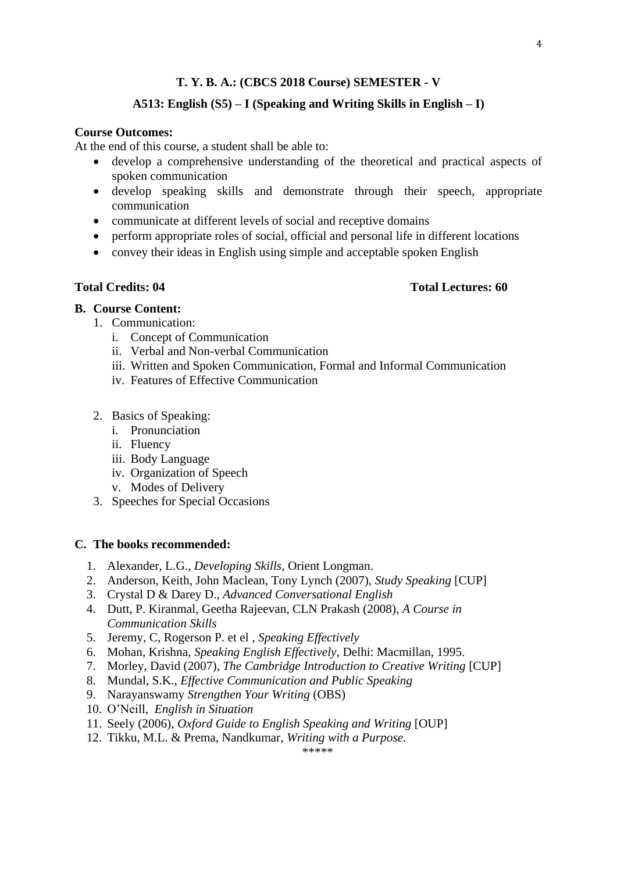#### **A513: English (S5) – I (Speaking and Writing Skills in English – I)**

## **Course Outcomes:**

At the end of this course, a student shall be able to:

- develop a comprehensive understanding of the theoretical and practical aspects of spoken communication
- develop speaking skills and demonstrate through their speech, appropriate communication
- communicate at different levels of social and receptive domains
- perform appropriate roles of social, official and personal life in different locations
- convey their ideas in English using simple and acceptable spoken English

#### **Total Credits: 04 Total Lectures: 60**

#### **B. Course Content:**

- 1. Communication:
	- i. Concept of Communication
	- ii. Verbal and Non-verbal Communication
	- iii. Written and Spoken Communication, Formal and Informal Communication
	- iv. Features of Effective Communication
- 2. Basics of Speaking:
	- i. Pronunciation
	- ii. Fluency
	- iii. Body Language
	- iv. Organization of Speech
	- v. Modes of Delivery
- 3. Speeches for Special Occasions

#### **C. The books recommended:**

- 1. Alexander, L.G., *Developing Skills,* Orient Longman.
- 2. Anderson, Keith, John Maclean, Tony Lynch (2007), *Study Speaking* [CUP]
- 3. Crystal D & Darey D., *Advanced Conversational English*
- 4. Dutt, P. Kiranmal, Geetha Rajeevan, CLN Prakash (2008), *A Course in Communication Skills*
- 5. Jeremy, C, Rogerson P. et el , *Speaking Effectively*
- 6. Mohan, Krishna, *Speaking English Effectively,* Delhi: Macmillan, 1995.
- 7. Morley, David (2007), *The Cambridge Introduction to Creative Writing* [CUP]
- 8. Mundal, S.K., *Effective Communication and Public Speaking*
- 9. Narayanswamy *Strengthen Your Writing* (OBS)
- 10. O'Neill, *English in Situation*
- 11. Seely (2006), *Oxford Guide to English Speaking and Writing* [OUP]
- 12. Tikku, M.L. & Prema, Nandkumar, *Writing with a Purpose.*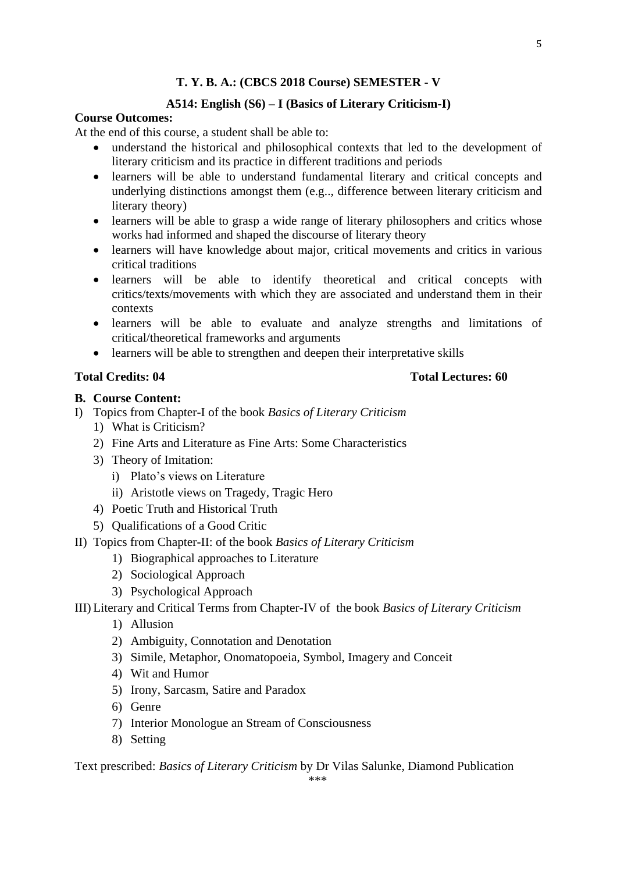## **A514: English (S6) – I (Basics of Literary Criticism-I)**

#### **Course Outcomes:**

At the end of this course, a student shall be able to:

- understand the historical and philosophical contexts that led to the development of literary criticism and its practice in different traditions and periods
- learners will be able to understand fundamental literary and critical concepts and underlying distinctions amongst them (e.g.., difference between literary criticism and literary theory)
- learners will be able to grasp a wide range of literary philosophers and critics whose works had informed and shaped the discourse of literary theory
- learners will have knowledge about major, critical movements and critics in various critical traditions
- learners will be able to identify theoretical and critical concepts with critics/texts/movements with which they are associated and understand them in their contexts
- learners will be able to evaluate and analyze strengths and limitations of critical/theoretical frameworks and arguments
- learners will be able to strengthen and deepen their interpretative skills

#### **Total Credits: 04 Total Lectures: 60**

#### **B. Course Content:**

- I) Topics from Chapter-I of the book *Basics of Literary Criticism*
	- 1) What is Criticism?
	- 2) Fine Arts and Literature as Fine Arts: Some Characteristics
	- 3) Theory of Imitation:
		- i) Plato's views on Literature
		- ii) Aristotle views on Tragedy, Tragic Hero
	- 4) Poetic Truth and Historical Truth
	- 5) Qualifications of a Good Critic
- II) Topics from Chapter-II: of the book *Basics of Literary Criticism*
	- 1) Biographical approaches to Literature
	- 2) Sociological Approach
	- 3) Psychological Approach

## III) Literary and Critical Terms from Chapter-IV of the book *Basics of Literary Criticism*

- 1) Allusion
- 2) Ambiguity, Connotation and Denotation
- 3) Simile, Metaphor, Onomatopoeia, Symbol, Imagery and Conceit
- 4) Wit and Humor
- 5) Irony, Sarcasm, Satire and Paradox
- 6) Genre
- 7) Interior Monologue an Stream of Consciousness
- 8) Setting

Text prescribed: *Basics of Literary Criticism* by Dr Vilas Salunke, Diamond Publication -<br>\*\*\*\*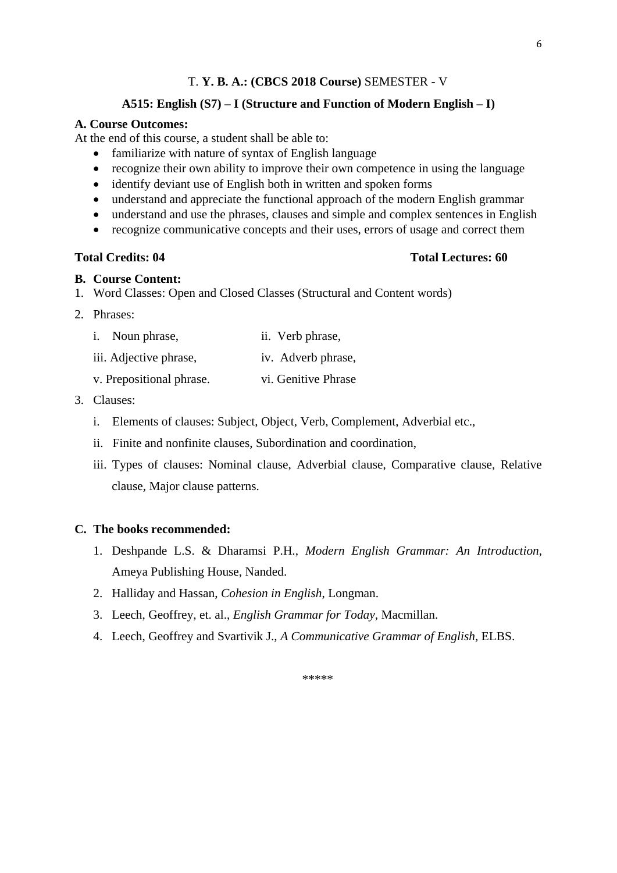#### **A515: English (S7) – I (Structure and Function of Modern English – I)**

#### **A. Course Outcomes:**

At the end of this course, a student shall be able to:

- familiarize with nature of syntax of English language
- recognize their own ability to improve their own competence in using the language
- identify deviant use of English both in written and spoken forms
- understand and appreciate the functional approach of the modern English grammar
- understand and use the phrases, clauses and simple and complex sentences in English
- recognize communicative concepts and their uses, errors of usage and correct them

## **Total Credits: 04 Total Lectures: 60**

#### **B. Course Content:**

1. Word Classes: Open and Closed Classes (Structural and Content words)

#### 2. Phrases:

| i. Noun phrase,          | ii. Verb phrase,    |
|--------------------------|---------------------|
| iii. Adjective phrase,   | iv. Adverb phrase,  |
| v. Prepositional phrase. | vi. Genitive Phrase |

#### 3. Clauses:

- i. Elements of clauses: Subject, Object, Verb, Complement, Adverbial etc.,
- ii. Finite and nonfinite clauses, Subordination and coordination,
- iii. Types of clauses: Nominal clause, Adverbial clause, Comparative clause, Relative clause, Major clause patterns.

#### **C. The books recommended:**

- 1. Deshpande L.S. & Dharamsi P.H., *Modern English Grammar: An Introduction,* Ameya Publishing House, Nanded.
- 2. Halliday and Hassan, *Cohesion in English*, Longman.
- 3. Leech, Geoffrey, et. al., *English Grammar for Today,* Macmillan.
- 4. Leech, Geoffrey and Svartivik J., *A Communicative Grammar of English,* ELBS.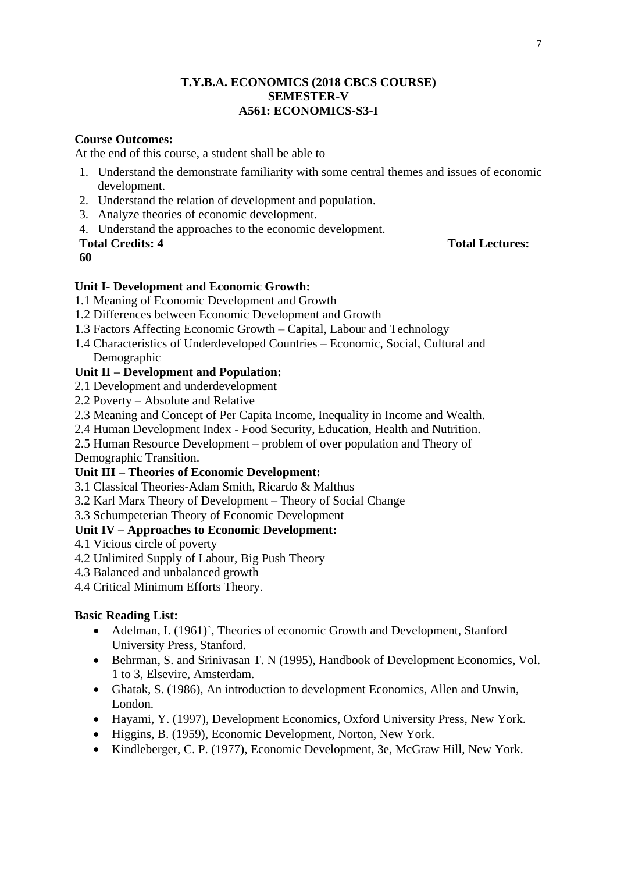## **T.Y.B.A. ECONOMICS (2018 CBCS COURSE) SEMESTER-V A561: ECONOMICS-S3-I**

# **Course Outcomes:**

At the end of this course, a student shall be able to

- 1. Understand the demonstrate familiarity with some central themes and issues of economic development.
- 2. Understand the relation of development and population.
- 3. Analyze theories of economic development.
- 4. Understand the approaches to the economic development.

## **Total Credits: 4 Total Lectures:**

**60**

# **Unit I- Development and Economic Growth:**

- 1.1 Meaning of Economic Development and Growth
- 1.2 Differences between Economic Development and Growth
- 1.3 Factors Affecting Economic Growth Capital, Labour and Technology
- 1.4 Characteristics of Underdeveloped Countries Economic, Social, Cultural and Demographic

# **Unit II – Development and Population:**

- 2.1 Development and underdevelopment
- 2.2 Poverty Absolute and Relative
- 2.3 Meaning and Concept of Per Capita Income, Inequality in Income and Wealth.
- 2.4 Human Development Index Food Security, Education, Health and Nutrition.
- 2.5 Human Resource Development problem of over population and Theory of

Demographic Transition.

## **Unit III – Theories of Economic Development:**

- 3.1 Classical Theories-Adam Smith, Ricardo & Malthus
- 3.2 Karl Marx Theory of Development Theory of Social Change

3.3 Schumpeterian Theory of Economic Development

# **Unit IV – Approaches to Economic Development:**

- 4.1 Vicious circle of poverty
- 4.2 Unlimited Supply of Labour, Big Push Theory
- 4.3 Balanced and unbalanced growth
- 4.4 Critical Minimum Efforts Theory.

# **Basic Reading List:**

- Adelman, I. (1961)`, Theories of economic Growth and Development, Stanford University Press, Stanford.
- Behrman, S. and Srinivasan T. N (1995), Handbook of Development Economics, Vol. 1 to 3, Elsevire, Amsterdam.
- Ghatak, S. (1986), An introduction to development Economics, Allen and Unwin, London.
- Hayami, Y. (1997), Development Economics, Oxford University Press, New York.
- Higgins, B. (1959), Economic Development, Norton, New York.
- Kindleberger, C. P. (1977), Economic Development, 3e, McGraw Hill, New York.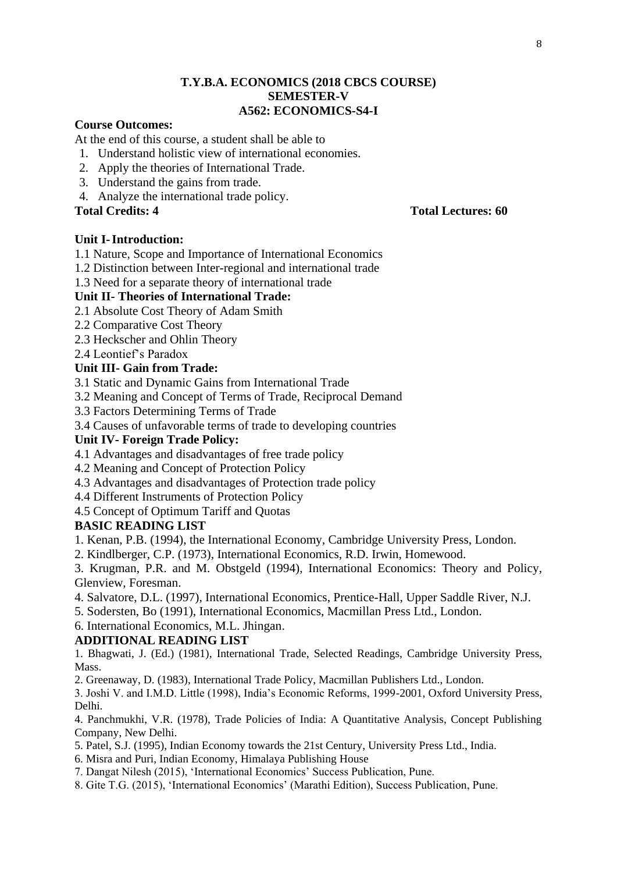## **T.Y.B.A. ECONOMICS (2018 CBCS COURSE) SEMESTER-V A562: ECONOMICS-S4-I**

## **Course Outcomes:**

At the end of this course, a student shall be able to

- 1. Understand holistic view of international economies.
- 2. Apply the theories of International Trade.
- 3. Understand the gains from trade.
- 4. Analyze the international trade policy.

**Total Credits: 4 Total Lectures: 60**

## **Unit I-Introduction:**

1.1 Nature, Scope and Importance of International Economics

1.2 Distinction between Inter-regional and international trade

1.3 Need for a separate theory of international trade

## **Unit II- Theories of International Trade:**

- 2.1 Absolute Cost Theory of Adam Smith
- 2.2 Comparative Cost Theory
- 2.3 Heckscher and Ohlin Theory
- 2.4 Leontief's Paradox

#### **Unit III- Gain from Trade:**

3.1 Static and Dynamic Gains from International Trade

3.2 Meaning and Concept of Terms of Trade, Reciprocal Demand

3.3 Factors Determining Terms of Trade

3.4 Causes of unfavorable terms of trade to developing countries

#### **Unit IV- Foreign Trade Policy:**

- 4.1 Advantages and disadvantages of free trade policy
- 4.2 Meaning and Concept of Protection Policy
- 4.3 Advantages and disadvantages of Protection trade policy
- 4.4 Different Instruments of Protection Policy
- 4.5 Concept of Optimum Tariff and Quotas

## **BASIC READING LIST**

1. Kenan, P.B. (1994), the International Economy, Cambridge University Press, London.

2. Kindlberger, C.P. (1973), International Economics, R.D. Irwin, Homewood.

3. Krugman, P.R. and M. Obstgeld (1994), International Economics: Theory and Policy, Glenview, Foresman.

- 4. Salvatore, D.L. (1997), International Economics, Prentice-Hall, Upper Saddle River, N.J.
- 5. Sodersten, Bo (1991), International Economics, Macmillan Press Ltd., London.

6. International Economics, M.L. Jhingan.

## **ADDITIONAL READING LIST**

1. Bhagwati, J. (Ed.) (1981), International Trade, Selected Readings, Cambridge University Press, Mass.

2. Greenaway, D. (1983), International Trade Policy, Macmillan Publishers Ltd., London.

3. Joshi V. and I.M.D. Little (1998), India's Economic Reforms, 1999-2001, Oxford University Press, Delhi.

4. Panchmukhi, V.R. (1978), Trade Policies of India: A Quantitative Analysis, Concept Publishing Company, New Delhi.

- 5. Patel, S.J. (1995), Indian Economy towards the 21st Century, University Press Ltd., India.
- 6. Misra and Puri, Indian Economy, Himalaya Publishing House
- 7. Dangat Nilesh (2015), 'International Economics' Success Publication, Pune.

8. Gite T.G. (2015), 'International Economics' (Marathi Edition), Success Publication, Pune.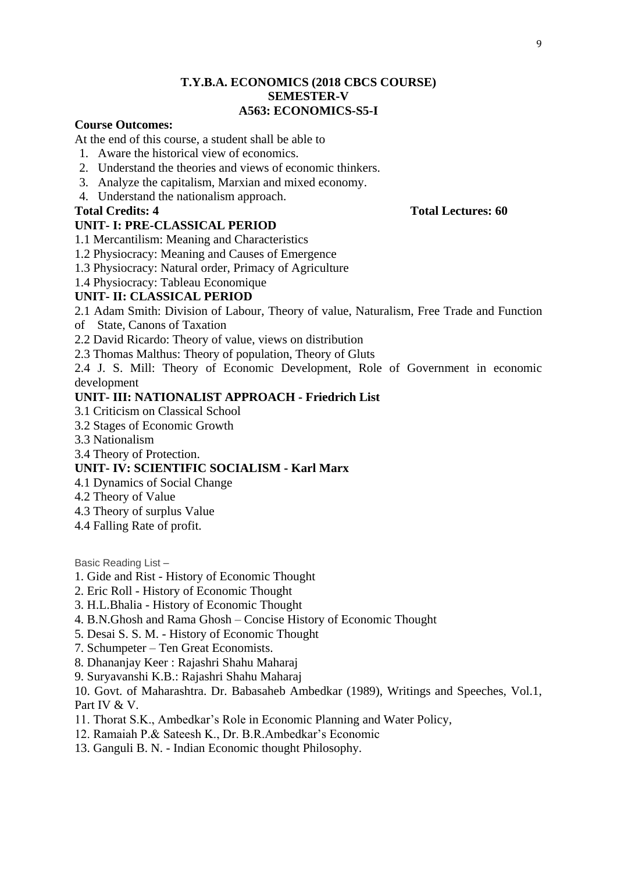## **T.Y.B.A. ECONOMICS (2018 CBCS COURSE) SEMESTER-V A563: ECONOMICS-S5-I**

## **Course Outcomes:**

At the end of this course, a student shall be able to

- 1. Aware the historical view of economics.
- 2. Understand the theories and views of economic thinkers.
- 3. Analyze the capitalism, Marxian and mixed economy.
- 4. Understand the nationalism approach.

## **UNIT- I: PRE-CLASSICAL PERIOD**

- 1.1 Mercantilism: Meaning and Characteristics
- 1.2 Physiocracy: Meaning and Causes of Emergence
- 1.3 Physiocracy: Natural order, Primacy of Agriculture
- 1.4 Physiocracy: Tableau Economique

#### **UNIT- II: CLASSICAL PERIOD**

2.1 Adam Smith: Division of Labour, Theory of value, Naturalism, Free Trade and Function of State, Canons of Taxation

- 2.2 David Ricardo: Theory of value, views on distribution
- 2.3 Thomas Malthus: Theory of population, Theory of Gluts

2.4 J. S. Mill: Theory of Economic Development, Role of Government in economic development

## **UNIT- III: NATIONALIST APPROACH - Friedrich List**

- 3.1 Criticism on Classical School
- 3.2 Stages of Economic Growth
- 3.3 Nationalism
- 3.4 Theory of Protection.

#### **UNIT- IV: SCIENTIFIC SOCIALISM - Karl Marx**

- 4.1 Dynamics of Social Change
- 4.2 Theory of Value
- 4.3 Theory of surplus Value
- 4.4 Falling Rate of profit.

Basic Reading List –

- 1. Gide and Rist History of Economic Thought
- 2. Eric Roll History of Economic Thought
- 3. H.L.Bhalia History of Economic Thought
- 4. B.N.Ghosh and Rama Ghosh Concise History of Economic Thought
- 5. Desai S. S. M. History of Economic Thought
- 7. Schumpeter Ten Great Economists.
- 8. Dhananjay Keer : Rajashri Shahu Maharaj
- 9. Suryavanshi K.B.: Rajashri Shahu Maharaj

10. Govt. of Maharashtra. Dr. Babasaheb Ambedkar (1989), Writings and Speeches, Vol.1, Part IV & V.

- 11. Thorat S.K., Ambedkar's Role in Economic Planning and Water Policy,
- 12. Ramaiah P.& Sateesh K., Dr. B.R.Ambedkar's Economic
- 13. Ganguli B. N. Indian Economic thought Philosophy.

#### **Total Credits: 4 Total Lectures: 60**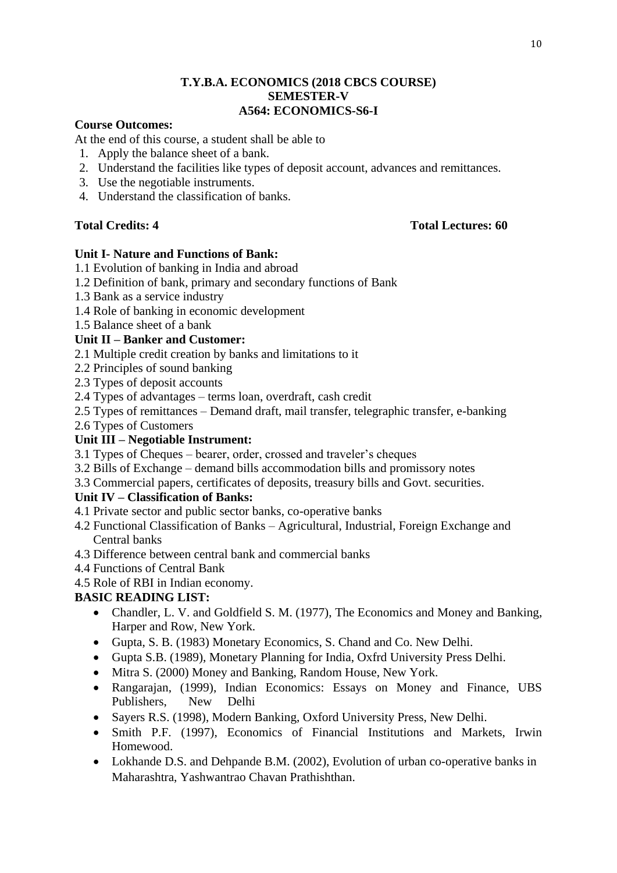## **T.Y.B.A. ECONOMICS (2018 CBCS COURSE) SEMESTER-V A564: ECONOMICS-S6-I**

## **Course Outcomes:**

At the end of this course, a student shall be able to

- 1. Apply the balance sheet of a bank.
- 2. Understand the facilities like types of deposit account, advances and remittances.
- 3. Use the negotiable instruments.
- 4. Understand the classification of banks.

# **Total Credits: 4 Total Lectures: 60**

## **Unit I- Nature and Functions of Bank:**

- 1.1 Evolution of banking in India and abroad
- 1.2 Definition of bank, primary and secondary functions of Bank
- 1.3 Bank as a service industry
- 1.4 Role of banking in economic development
- 1.5 Balance sheet of a bank

## **Unit II – Banker and Customer:**

- 2.1 Multiple credit creation by banks and limitations to it
- 2.2 Principles of sound banking
- 2.3 Types of deposit accounts
- 2.4 Types of advantages terms loan, overdraft, cash credit
- 2.5 Types of remittances Demand draft, mail transfer, telegraphic transfer, e-banking
- 2.6 Types of Customers

# **Unit III – Negotiable Instrument:**

- 3.1 Types of Cheques bearer, order, crossed and traveler's cheques
- 3.2 Bills of Exchange demand bills accommodation bills and promissory notes
- 3.3 Commercial papers, certificates of deposits, treasury bills and Govt. securities.

# **Unit IV – Classification of Banks:**

- 4.1 Private sector and public sector banks, co-operative banks
- 4.2 Functional Classification of Banks Agricultural, Industrial, Foreign Exchange and Central banks
- 4.3 Difference between central bank and commercial banks
- 4.4 Functions of Central Bank
- 4.5 Role of RBI in Indian economy.

# **BASIC READING LIST:**

- Chandler, L. V. and Goldfield S. M. (1977), The Economics and Money and Banking, Harper and Row, New York.
- Gupta, S. B. (1983) Monetary Economics, S. Chand and Co. New Delhi.
- Gupta S.B. (1989), Monetary Planning for India, Oxfrd University Press Delhi.
- Mitra S. (2000) Money and Banking, Random House, New York.
- Rangarajan, (1999), Indian Economics: Essays on Money and Finance, UBS Publishers, New Delhi
- Sayers R.S. (1998), Modern Banking, Oxford University Press, New Delhi.
- Smith P.F. (1997), Economics of Financial Institutions and Markets, Irwin Homewood.
- Lokhande D.S. and Dehpande B.M. (2002), Evolution of urban co-operative banks in Maharashtra, Yashwantrao Chavan Prathishthan.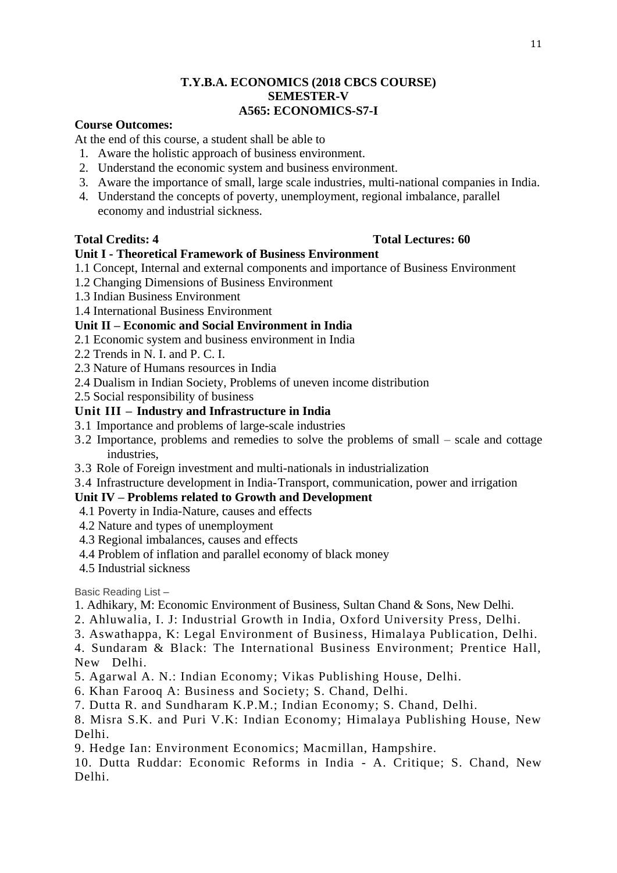## **T.Y.B.A. ECONOMICS (2018 CBCS COURSE) SEMESTER-V A565: ECONOMICS-S7-I**

## **Course Outcomes:**

At the end of this course, a student shall be able to

- 1. Aware the holistic approach of business environment.
- 2. Understand the economic system and business environment.
- 3. Aware the importance of small, large scale industries, multi-national companies in India.
- 4. Understand the concepts of poverty, unemployment, regional imbalance, parallel economy and industrial sickness.

## **Total Credits: 4 Total Lectures: 60**

## **Unit I - Theoretical Framework of Business Environment**

- 1.1 Concept, Internal and external components and importance of Business Environment
- 1.2 Changing Dimensions of Business Environment
- 1.3 Indian Business Environment
- 1.4 International Business Environment

## **Unit II – Economic and Social Environment in India**

- 2.1 Economic system and business environment in India
- 2.2 Trends in N. I. and P. C. I.
- 2.3 Nature of Humans resources in India
- 2.4 Dualism in Indian Society, Problems of uneven income distribution
- 2.5 Social responsibility of business

#### **Unit III – Industry and Infrastructure in India**

- 3.1 Importance and problems of large-scale industries
- 3.2 Importance, problems and remedies to solve the problems of small scale and cottage industries,
- 3.3 Role of Foreign investment and multi-nationals in industrialization
- 3.4 Infrastructure development in India-Transport, communication, power and irrigation

## **Unit IV – Problems related to Growth and Development**

- 4.1 Poverty in India-Nature, causes and effects
- 4.2 Nature and types of unemployment
- 4.3 Regional imbalances, causes and effects
- 4.4 Problem of inflation and parallel economy of black money
- 4.5 Industrial sickness

Basic Reading List –

- 1. Adhikary, M: Economic Environment of Business, Sultan Chand & Sons, New Delhi.
- 2. Ahluwalia, I. J: Industrial Growth in India, Oxford University Press, Delhi.
- 3. Aswathappa, K: Legal Environment of Business, Himalaya Publication, Delhi.

4. Sundaram & Black: The International Business Environment; Prentice Hall, New Delhi.

- 5. Agarwal A. N.: Indian Economy; Vikas Publishing House, Delhi.
- 6. Khan Farooq A: Business and Society; S. Chand, Delhi.
- 7. Dutta R. and Sundharam K.P.M.; Indian Economy; S. Chand, Delhi.
- 8. Misra S.K. and Puri V.K: Indian Economy; Himalaya Publishing House, New Delhi.
- 9. Hedge Ian: Environment Economics; Macmillan, Hampshire.
- 10. Dutta Ruddar: Economic Reforms in India A. Critique; S. Chand, New Delhi.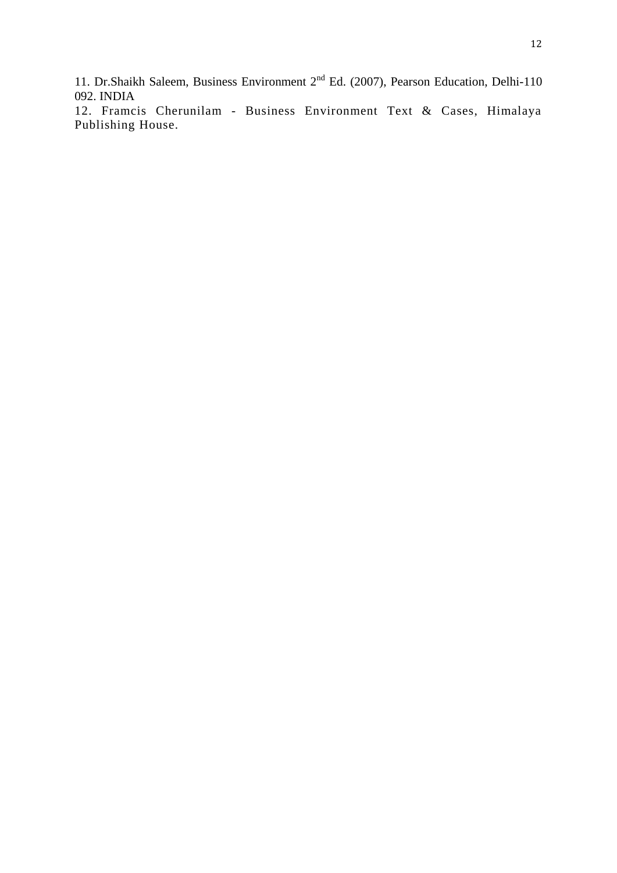11. Dr.Shaikh Saleem, Business Environment  $2^{nd}$  Ed. (2007), Pearson Education, Delhi-110 092. INDIA

12. Framcis Cherunilam - Business Environment Text & Cases, Himalaya Publishing House.